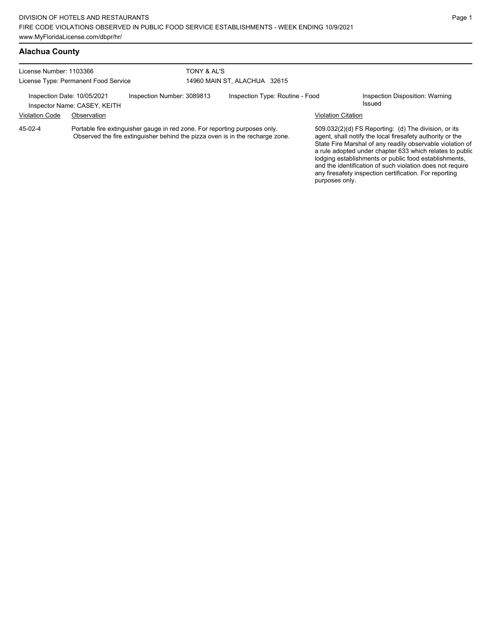### **Alachua County**

| License Number: 1103366<br>License Type: Permanent Food Service                           |             |  | TONY & AL'S<br>14960 MAIN ST, ALACHUA 32615 |  |                                           |  |  |
|-------------------------------------------------------------------------------------------|-------------|--|---------------------------------------------|--|-------------------------------------------|--|--|
| Inspection Date: 10/05/2021<br>Inspection Number: 3089813<br>Inspector Name: CASEY, KEITH |             |  | Inspection Type: Routine - Food             |  | Inspection Disposition: Warning<br>Issued |  |  |
| <b>Violation Code</b>                                                                     | Observation |  |                                             |  | Violation Citation                        |  |  |

Portable fire extinguisher gauge in red zone. For reporting purposes only. Observed the fire extinguisher behind the pizza oven is in the recharge zone. 45-02-4

509.032(2)(d) FS Reporting: (d) The division, or its agent, shall notify the local firesafety authority or the State Fire Marshal of any readily observable violation of a rule adopted under chapter 633 which relates to public lodging establishments or public food establishments, and the identification of such violation does not require any firesafety inspection certification. For reporting purposes only.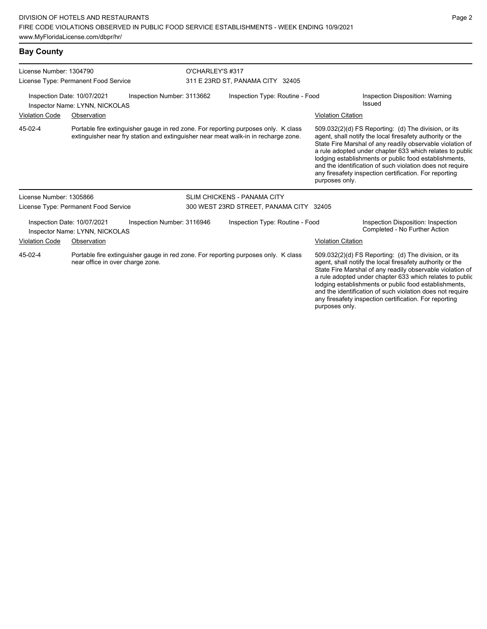| License Number: 1304790                                                                                                           |                                                               |                                                                                                                                                                          | O'CHARLEY'S #317                        |                                    |  |                           |                                                                                                                                                                                                                                                                                                                                                                                                                            |  |
|-----------------------------------------------------------------------------------------------------------------------------------|---------------------------------------------------------------|--------------------------------------------------------------------------------------------------------------------------------------------------------------------------|-----------------------------------------|------------------------------------|--|---------------------------|----------------------------------------------------------------------------------------------------------------------------------------------------------------------------------------------------------------------------------------------------------------------------------------------------------------------------------------------------------------------------------------------------------------------------|--|
|                                                                                                                                   | License Type: Permanent Food Service                          |                                                                                                                                                                          | 311 E 23RD ST, PANAMA CITY 32405        |                                    |  |                           |                                                                                                                                                                                                                                                                                                                                                                                                                            |  |
|                                                                                                                                   | Inspection Date: 10/07/2021<br>Inspector Name: LYNN, NICKOLAS | Inspection Number: 3113662                                                                                                                                               |                                         | Inspection Type: Routine - Food    |  |                           | Inspection Disposition: Warning<br>Issued                                                                                                                                                                                                                                                                                                                                                                                  |  |
| <b>Violation Code</b><br>Observation                                                                                              |                                                               |                                                                                                                                                                          |                                         |                                    |  | <b>Violation Citation</b> |                                                                                                                                                                                                                                                                                                                                                                                                                            |  |
| 45-02-4                                                                                                                           |                                                               | Portable fire extinguisher gauge in red zone. For reporting purposes only. K class<br>extinguisher near fry station and extinguisher near meat walk-in in recharge zone. |                                         |                                    |  | purposes only.            | 509.032(2)(d) FS Reporting: (d) The division, or its<br>agent, shall notify the local firesafety authority or the<br>State Fire Marshal of any readily observable violation of<br>a rule adopted under chapter 633 which relates to public<br>lodging establishments or public food establishments,<br>and the identification of such violation does not require<br>any firesafety inspection certification. For reporting |  |
| License Number: 1305866                                                                                                           |                                                               |                                                                                                                                                                          |                                         | <b>SLIM CHICKENS - PANAMA CITY</b> |  |                           |                                                                                                                                                                                                                                                                                                                                                                                                                            |  |
|                                                                                                                                   | License Type: Permanent Food Service                          |                                                                                                                                                                          | 300 WEST 23RD STREET, PANAMA CITY 32405 |                                    |  |                           |                                                                                                                                                                                                                                                                                                                                                                                                                            |  |
|                                                                                                                                   | Inspection Date: 10/07/2021<br>Inspector Name: LYNN, NICKOLAS | Inspection Number: 3116946                                                                                                                                               |                                         | Inspection Type: Routine - Food    |  |                           | Inspection Disposition: Inspection<br>Completed - No Further Action                                                                                                                                                                                                                                                                                                                                                        |  |
| <b>Violation Code</b>                                                                                                             | Observation                                                   |                                                                                                                                                                          |                                         |                                    |  | <b>Violation Citation</b> |                                                                                                                                                                                                                                                                                                                                                                                                                            |  |
| 45-02-4<br>Portable fire extinguisher gauge in red zone. For reporting purposes only. K class<br>near office in over charge zone. |                                                               |                                                                                                                                                                          |                                         |                                    |  | purposes only.            | 509.032(2)(d) FS Reporting: (d) The division, or its<br>agent, shall notify the local firesafety authority or the<br>State Fire Marshal of any readily observable violation of<br>a rule adopted under chapter 633 which relates to public<br>lodging establishments or public food establishments,<br>and the identification of such violation does not require<br>any firesafety inspection certification. For reporting |  |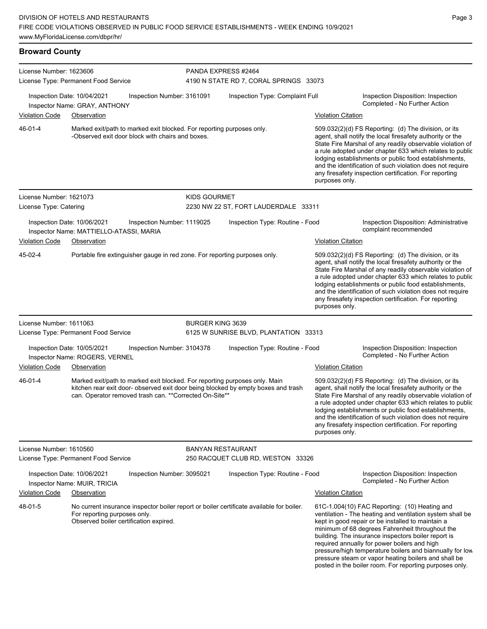## **Broward County**

|                                                                                                                                      | License Number: 1623606<br>License Type: Permanent Food Service              |                                                                                                                                       |                                 | PANDA EXPRESS #2464<br>4190 N STATE RD 7, CORAL SPRINGS 33073                                                                                                                                                                                                                                                                                                                                                                                |                                                                 |                                                                                                                                                                                                                                                                                                                                                                                                                                                                                                          |  |  |
|--------------------------------------------------------------------------------------------------------------------------------------|------------------------------------------------------------------------------|---------------------------------------------------------------------------------------------------------------------------------------|---------------------------------|----------------------------------------------------------------------------------------------------------------------------------------------------------------------------------------------------------------------------------------------------------------------------------------------------------------------------------------------------------------------------------------------------------------------------------------------|-----------------------------------------------------------------|----------------------------------------------------------------------------------------------------------------------------------------------------------------------------------------------------------------------------------------------------------------------------------------------------------------------------------------------------------------------------------------------------------------------------------------------------------------------------------------------------------|--|--|
|                                                                                                                                      | Inspection Date: 10/04/2021<br>Inspector Name: GRAY, ANTHONY                 | Inspection Number: 3161091                                                                                                            |                                 | Inspection Type: Complaint Full                                                                                                                                                                                                                                                                                                                                                                                                              |                                                                 | Inspection Disposition: Inspection<br>Completed - No Further Action                                                                                                                                                                                                                                                                                                                                                                                                                                      |  |  |
| <b>Violation Code</b>                                                                                                                | Observation                                                                  |                                                                                                                                       |                                 |                                                                                                                                                                                                                                                                                                                                                                                                                                              | <b>Violation Citation</b>                                       |                                                                                                                                                                                                                                                                                                                                                                                                                                                                                                          |  |  |
| 46-01-4<br>Marked exit/path to marked exit blocked. For reporting purposes only.<br>-Observed exit door block with chairs and boxes. |                                                                              |                                                                                                                                       |                                 | 509.032(2)(d) FS Reporting: (d) The division, or its<br>agent, shall notify the local firesafety authority or the<br>State Fire Marshal of any readily observable violation of<br>a rule adopted under chapter 633 which relates to public<br>lodging establishments or public food establishments,<br>and the identification of such violation does not require<br>any firesafety inspection certification. For reporting<br>purposes only. |                                                                 |                                                                                                                                                                                                                                                                                                                                                                                                                                                                                                          |  |  |
| License Number: 1621073<br>License Type: Catering                                                                                    |                                                                              |                                                                                                                                       | <b>KIDS GOURMET</b>             | 2230 NW 22 ST, FORT LAUDERDALE 33311                                                                                                                                                                                                                                                                                                                                                                                                         |                                                                 |                                                                                                                                                                                                                                                                                                                                                                                                                                                                                                          |  |  |
| Inspection Date: 10/06/2021<br>Inspection Number: 1119025<br>Inspector Name: MATTIELLO-ATASSI, MARIA                                 |                                                                              |                                                                                                                                       | Inspection Type: Routine - Food |                                                                                                                                                                                                                                                                                                                                                                                                                                              | Inspection Disposition: Administrative<br>complaint recommended |                                                                                                                                                                                                                                                                                                                                                                                                                                                                                                          |  |  |
| <b>Violation Code</b><br>Observation                                                                                                 |                                                                              |                                                                                                                                       |                                 |                                                                                                                                                                                                                                                                                                                                                                                                                                              | <b>Violation Citation</b>                                       |                                                                                                                                                                                                                                                                                                                                                                                                                                                                                                          |  |  |
| 45-02-4                                                                                                                              |                                                                              | Portable fire extinguisher gauge in red zone. For reporting purposes only.                                                            |                                 |                                                                                                                                                                                                                                                                                                                                                                                                                                              | purposes only.                                                  | 509.032(2)(d) FS Reporting: (d) The division, or its<br>agent, shall notify the local firesafety authority or the<br>State Fire Marshal of any readily observable violation of<br>a rule adopted under chapter 633 which relates to public<br>lodging establishments or public food establishments,<br>and the identification of such violation does not require<br>any firesafety inspection certification. For reporting                                                                               |  |  |
| License Number: 1611063                                                                                                              | License Type: Permanent Food Service                                         |                                                                                                                                       | <b>BURGER KING 3639</b>         | 6125 W SUNRISE BLVD, PLANTATION 33313                                                                                                                                                                                                                                                                                                                                                                                                        |                                                                 |                                                                                                                                                                                                                                                                                                                                                                                                                                                                                                          |  |  |
| <b>Violation Code</b>                                                                                                                | Inspection Date: 10/05/2021<br>Inspector Name: ROGERS, VERNEL<br>Observation | Inspection Number: 3104378                                                                                                            | Inspection Type: Routine - Food |                                                                                                                                                                                                                                                                                                                                                                                                                                              | <b>Violation Citation</b>                                       | Inspection Disposition: Inspection<br>Completed - No Further Action                                                                                                                                                                                                                                                                                                                                                                                                                                      |  |  |
| 46-01-4                                                                                                                              |                                                                              | Marked exit/path to marked exit blocked. For reporting purposes only. Main<br>can. Operator removed trash can. ** Corrected On-Site** |                                 | kitchen rear exit door- observed exit door being blocked by empty boxes and trash                                                                                                                                                                                                                                                                                                                                                            | purposes only.                                                  | 509.032(2)(d) FS Reporting: (d) The division, or its<br>agent, shall notify the local firesafety authority or the<br>State Fire Marshal of any readily observable violation of<br>a rule adopted under chapter 633 which relates to public<br>lodging establishments or public food establishments,<br>and the identification of such violation does not require<br>any firesafety inspection certification. For reporting                                                                               |  |  |
| License Number: 1610560                                                                                                              |                                                                              |                                                                                                                                       | <b>BANYAN RESTAURANT</b>        |                                                                                                                                                                                                                                                                                                                                                                                                                                              |                                                                 |                                                                                                                                                                                                                                                                                                                                                                                                                                                                                                          |  |  |
|                                                                                                                                      | License Type: Permanent Food Service                                         |                                                                                                                                       |                                 | 250 RACQUET CLUB RD, WESTON 33326                                                                                                                                                                                                                                                                                                                                                                                                            |                                                                 |                                                                                                                                                                                                                                                                                                                                                                                                                                                                                                          |  |  |
|                                                                                                                                      | Inspection Date: 10/06/2021<br>Inspector Name: MUIR, TRICIA                  | Inspection Number: 3095021                                                                                                            |                                 | Inspection Type: Routine - Food                                                                                                                                                                                                                                                                                                                                                                                                              |                                                                 | Inspection Disposition: Inspection<br>Completed - No Further Action                                                                                                                                                                                                                                                                                                                                                                                                                                      |  |  |
| <b>Violation Code</b>                                                                                                                | Observation                                                                  |                                                                                                                                       |                                 |                                                                                                                                                                                                                                                                                                                                                                                                                                              | <b>Violation Citation</b>                                       |                                                                                                                                                                                                                                                                                                                                                                                                                                                                                                          |  |  |
| 48-01-5                                                                                                                              | For reporting purposes only.                                                 | Observed boiler certification expired.                                                                                                |                                 | No current insurance inspector boiler report or boiler certificate available for boiler.                                                                                                                                                                                                                                                                                                                                                     |                                                                 | 61C-1.004(10) FAC Reporting: (10) Heating and<br>ventilation - The heating and ventilation system shall be<br>kept in good repair or be installed to maintain a<br>minimum of 68 degrees Fahrenheit throughout the<br>building. The insurance inspectors boiler report is<br>required annually for power boilers and high<br>pressure/high temperature boilers and biannually for low<br>pressure steam or vapor heating boilers and shall be<br>posted in the boiler room. For reporting purposes only. |  |  |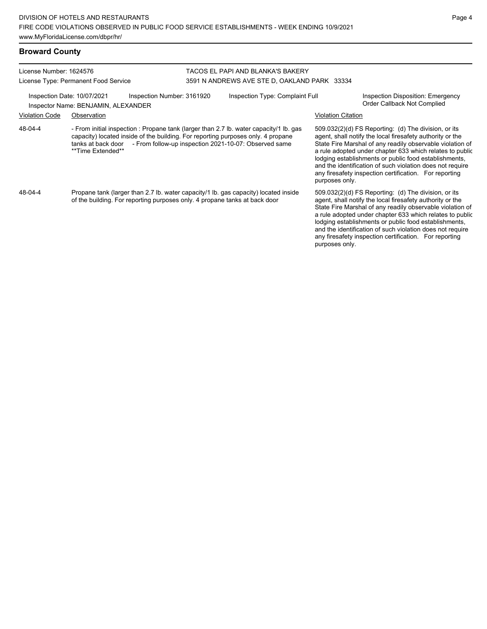| License Number: 1624576 | License Type: Permanent Food Service                                                                                                                                                                                                                                        | TACOS EL PAPI AND BLANKA'S BAKERY<br>3591 N ANDREWS AVE STE D, OAKLAND PARK 33334 |                                 |                           |                                                                                                                                                                                                                                                                                                                                                                                                                            |  |
|-------------------------|-----------------------------------------------------------------------------------------------------------------------------------------------------------------------------------------------------------------------------------------------------------------------------|-----------------------------------------------------------------------------------|---------------------------------|---------------------------|----------------------------------------------------------------------------------------------------------------------------------------------------------------------------------------------------------------------------------------------------------------------------------------------------------------------------------------------------------------------------------------------------------------------------|--|
|                         | Inspection Date: 10/07/2021<br>Inspection Number: 3161920<br>Inspector Name: BENJAMIN, ALEXANDER                                                                                                                                                                            |                                                                                   | Inspection Type: Complaint Full |                           | <b>Inspection Disposition: Emergency</b><br>Order Callback Not Complied                                                                                                                                                                                                                                                                                                                                                    |  |
| <b>Violation Code</b>   | Observation                                                                                                                                                                                                                                                                 |                                                                                   |                                 | <b>Violation Citation</b> |                                                                                                                                                                                                                                                                                                                                                                                                                            |  |
| 48-04-4                 | - From initial inspection : Propane tank (larger than 2.7 lb. water capacity/1 lb. gas<br>capacity) located inside of the building. For reporting purposes only. 4 propane<br>tanks at back door - From follow-up inspection 2021-10-07: Observed same<br>**Time Extended** |                                                                                   |                                 | purposes only.            | 509.032(2)(d) FS Reporting: (d) The division, or its<br>agent, shall notify the local firesafety authority or the<br>State Fire Marshal of any readily observable violation of<br>a rule adopted under chapter 633 which relates to public<br>lodging establishments or public food establishments,<br>and the identification of such violation does not require<br>any firesafety inspection certification. For reporting |  |
| 48-04-4                 | Propane tank (larger than 2.7 lb. water capacity/1 lb. gas capacity) located inside<br>of the building. For reporting purposes only, 4 propane tanks at back door                                                                                                           |                                                                                   |                                 | purposes only.            | 509.032(2)(d) FS Reporting: (d) The division, or its<br>agent, shall notify the local firesafety authority or the<br>State Fire Marshal of any readily observable violation of<br>a rule adopted under chapter 633 which relates to public<br>lodging establishments or public food establishments,<br>and the identification of such violation does not require<br>any firesafety inspection certification. For reporting |  |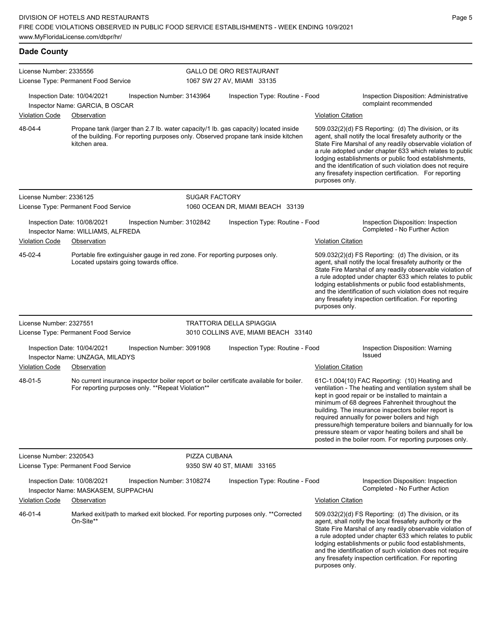# **Dade County**

| License Number: 2335556                                                                                                         | License Type: Permanent Food Service                                          |                                                   | <b>GALLO DE ORO RESTAURANT</b><br>1067 SW 27 AV, MIAMI 33135                             |  |                                                                                                                                                                                                                                                                                                                                                                                                                                                                                                          |  |  |
|---------------------------------------------------------------------------------------------------------------------------------|-------------------------------------------------------------------------------|---------------------------------------------------|------------------------------------------------------------------------------------------|--|----------------------------------------------------------------------------------------------------------------------------------------------------------------------------------------------------------------------------------------------------------------------------------------------------------------------------------------------------------------------------------------------------------------------------------------------------------------------------------------------------------|--|--|
| Violation Code                                                                                                                  | Inspection Date: 10/04/2021<br>Inspector Name: GARCIA, B OSCAR<br>Observation | Inspection Number: 3143964                        | Inspection Type: Routine - Food                                                          |  | Inspection Disposition: Administrative<br>complaint recommended<br><b>Violation Citation</b>                                                                                                                                                                                                                                                                                                                                                                                                             |  |  |
| 48-04-4                                                                                                                         |                                                                               |                                                   | Propane tank (larger than 2.7 lb. water capacity/1 lb. gas capacity) located inside      |  | 509.032(2)(d) FS Reporting: (d) The division, or its                                                                                                                                                                                                                                                                                                                                                                                                                                                     |  |  |
| of the building. For reporting purposes only. Observed propane tank inside kitchen<br>kitchen area.                             |                                                                               |                                                   |                                                                                          |  | agent, shall notify the local firesafety authority or the<br>State Fire Marshal of any readily observable violation of<br>a rule adopted under chapter 633 which relates to public<br>lodging establishments or public food establishments,<br>and the identification of such violation does not require<br>any firesafety inspection certification. For reporting<br>purposes only.                                                                                                                     |  |  |
| License Number: 2336125                                                                                                         | License Type: Permanent Food Service                                          |                                                   | <b>SUGAR FACTORY</b><br>1060 OCEAN DR, MIAMI BEACH 33139                                 |  |                                                                                                                                                                                                                                                                                                                                                                                                                                                                                                          |  |  |
| Inspection Date: 10/08/2021<br>Inspector Name: WILLIAMS, ALFREDA                                                                |                                                                               | Inspection Number: 3102842                        | Inspection Type: Routine - Food                                                          |  | Inspection Disposition: Inspection<br>Completed - No Further Action                                                                                                                                                                                                                                                                                                                                                                                                                                      |  |  |
| <b>Violation Code</b>                                                                                                           | Observation                                                                   |                                                   |                                                                                          |  | <b>Violation Citation</b>                                                                                                                                                                                                                                                                                                                                                                                                                                                                                |  |  |
| 45-02-4<br>Portable fire extinguisher gauge in red zone. For reporting purposes only.<br>Located upstairs going towards office. |                                                                               |                                                   |                                                                                          |  | 509.032(2)(d) FS Reporting: (d) The division, or its<br>agent, shall notify the local firesafety authority or the<br>State Fire Marshal of any readily observable violation of<br>a rule adopted under chapter 633 which relates to public<br>lodging establishments or public food establishments,<br>and the identification of such violation does not require<br>any firesafety inspection certification. For reporting<br>purposes only.                                                             |  |  |
| License Number: 2327551                                                                                                         | License Type: Permanent Food Service                                          |                                                   | <b>TRATTORIA DELLA SPIAGGIA</b><br>3010 COLLINS AVE, MIAMI BEACH 33140                   |  |                                                                                                                                                                                                                                                                                                                                                                                                                                                                                                          |  |  |
|                                                                                                                                 | Inspection Date: 10/04/2021<br>Inspector Name: UNZAGA, MILADYS                | Inspection Number: 3091908                        | Inspection Type: Routine - Food                                                          |  | Inspection Disposition: Warning<br>Issued                                                                                                                                                                                                                                                                                                                                                                                                                                                                |  |  |
| Violation Code                                                                                                                  | Observation                                                                   |                                                   |                                                                                          |  | <b>Violation Citation</b>                                                                                                                                                                                                                                                                                                                                                                                                                                                                                |  |  |
| 48-01-5                                                                                                                         |                                                                               | For reporting purposes only. **Repeat Violation** | No current insurance inspector boiler report or boiler certificate available for boiler. |  | 61C-1.004(10) FAC Reporting: (10) Heating and<br>ventilation - The heating and ventilation system shall be<br>kept in good repair or be installed to maintain a<br>minimum of 68 degrees Fahrenheit throughout the<br>building. The insurance inspectors boiler report is<br>required annually for power boilers and high<br>pressure/high temperature boilers and biannually for low<br>pressure steam or vapor heating boilers and shall be<br>posted in the boiler room. For reporting purposes only. |  |  |
| License Number: 2320543                                                                                                         | License Type: Permanent Food Service                                          |                                                   | PIZZA CUBANA<br>9350 SW 40 ST, MIAMI 33165                                               |  |                                                                                                                                                                                                                                                                                                                                                                                                                                                                                                          |  |  |
|                                                                                                                                 | Inspection Date: 10/08/2021<br>Inspector Name: MASKASEM, SUPPACHAI            | Inspection Number: 3108274                        | Inspection Type: Routine - Food                                                          |  | Inspection Disposition: Inspection<br>Completed - No Further Action                                                                                                                                                                                                                                                                                                                                                                                                                                      |  |  |
| Violation Code                                                                                                                  | Observation                                                                   |                                                   |                                                                                          |  | <b>Violation Citation</b>                                                                                                                                                                                                                                                                                                                                                                                                                                                                                |  |  |
| 46-01-4                                                                                                                         | On-Site**                                                                     |                                                   | Marked exit/path to marked exit blocked. For reporting purposes only. **Corrected        |  | 509.032(2)(d) FS Reporting: (d) The division, or its<br>agent, shall notify the local firesafety authority or the<br>State Fire Marshal of any readily observable violation of<br>a rule adopted under chapter 633 which relates to public<br>lodging establishments or public food establishments,<br>and the identification of such violation does not require<br>any firesafety inspection certification. For reporting<br>purposes only.                                                             |  |  |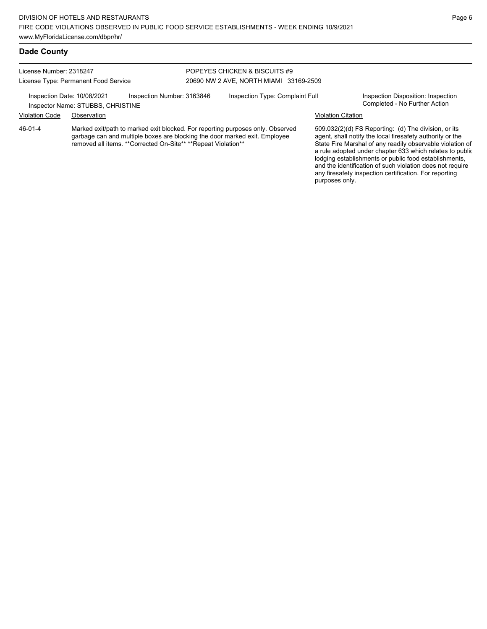#### **Dade County**

License Number: 2318247 License Type: Permanent Food Service

Inspector Name: STUBBS, CHRISTINE

#### POPEYES CHICKEN & BISCUITS #9 20690 NW 2 AVE, NORTH MIAMI 33169-2509

Inspection Date: 10/08/2021 Inspection Number: 3163846 Inspection Type: Complaint Full Inspection Disposition: Inspection<br>Inspector Name: STUBBS\_CHRISTINE

#### Violation Code Observation Violation Citation

Marked exit/path to marked exit blocked. For reporting purposes only. Observed garbage can and multiple boxes are blocking the door marked exit. Employee removed all items. \*\*Corrected On-Site\*\* \*\*Repeat Violation\*\* 46-01-4

509.032(2)(d) FS Reporting: (d) The division, or its agent, shall notify the local firesafety authority or the State Fire Marshal of any readily observable violation of a rule adopted under chapter 633 which relates to public lodging establishments or public food establishments, and the identification of such violation does not require any firesafety inspection certification. For reporting purposes only.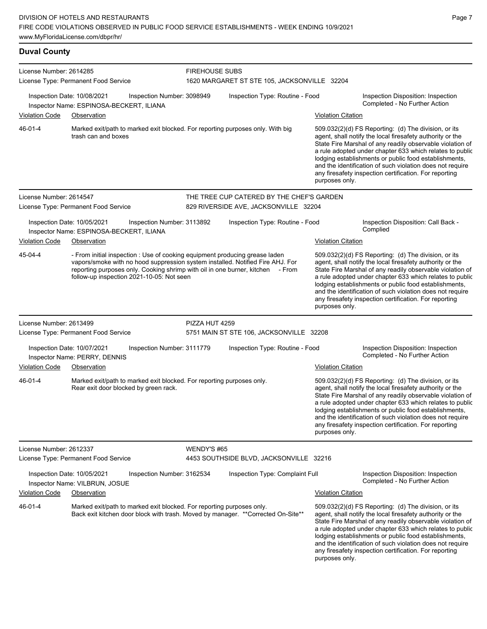**Duval County** License Number: 2614285 License Type: Permanent Food Service FIREHOUSE SUBS 1620 MARGARET ST STE 105, JACKSONVILLE 32204 Inspection Date: 10/08/2021 Inspection Number: 3098949 Inspection Type: Routine - Food Inspection Disposition: Inspection Inspector Name: ESPINOSA-BECKERT, ILIANA Violation Code Observation Violation Citation Marked exit/path to marked exit blocked. For reporting purposes only. With big trash can and boxes 509.032(2)(d) FS Reporting: (d) The division, or its agent, shall notify the local firesafety authority or the State Fire Marshal of any readily observable violation of a rule adopted under chapter 633 which relates to public lodging establishments or public food establishments, and the identification of such violation does not require any firesafety inspection certification. For reporting purposes only. 46-01-4 License Number: 2614547 License Type: Permanent Food Service THE TREE CUP CATERED BY THE CHEF'S GARDEN 829 RIVERSIDE AVE, JACKSONVILLE 32204 Inspection Date: 10/05/2021 Inspection Number: 3113892 Inspection Type: Routine - Food Inspection Disposition: Call Back - Inspector Name: ESPINOSA-BECKERT, ILIANA Violation Code Observation Violation Citation - From initial inspection : Use of cooking equipment producing grease laden vapors/smoke with no hood suppression system installed. Notified Fire AHJ. For reporting purposes only. Cooking shrimp with oil in one burner, kitchen - From follow-up inspection 2021-10-05: Not seen 509.032(2)(d) FS Reporting: (d) The division, or its agent, shall notify the local firesafety authority or the State Fire Marshal of any readily observable violation of a rule adopted under chapter 633 which relates to public lodging establishments or public food establishments, and the identification of such violation does not require any firesafety inspection certification. For reporting purposes only. 45-04-4 License Number: 2613499 License Type: Permanent Food Service PIZZA HUT 4259 5751 MAIN ST STE 106, JACKSONVILLE 32208 Inspection Date: 10/07/2021 Inspection Number: 3111779 Inspection Type: Routine - Food Inspection Disposition: Inspection Inspector Name: PERRY, DENNIS Violation Code Observation Violation Citation Marked exit/path to marked exit blocked. For reporting purposes only. Rear exit door blocked by green rack. 509.032(2)(d) FS Reporting: (d) The division, or its agent, shall notify the local firesafety authority or the State Fire Marshal of any readily observable violation of a rule adopted under chapter 633 which relates to public lodging establishments or public food establishments, and the identification of such violation does not require any firesafety inspection certification. For reporting purposes only. 46-01-4 License Number: 2612337 License Type: Permanent Food Service WENDY'S #65 4453 SOUTHSIDE BLVD, JACKSONVILLE 32216 Inspection Date: 10/05/2021 Inspection Number: 3162534 Inspection Type: Complaint Full Inspection Disposition: Inspection Completed - No Further Action Inspector Name: VILBRUN, JOSUE Violation Code Observation Violation Citation Marked exit/path to marked exit blocked. For reporting purposes only. Back exit kitchen door block with trash. Moved by manager. \*\*Corrected On-Site\*\* 509.032(2)(d) FS Reporting: (d) The division, or its agent, shall notify the local firesafety authority or the State Fire Marshal of any readily observable violation of a rule adopted under chapter 633 which relates to public lodging establishments or public food establishments, and the identification of such violation does not require 46-01-4

any firesafety inspection certification. For reporting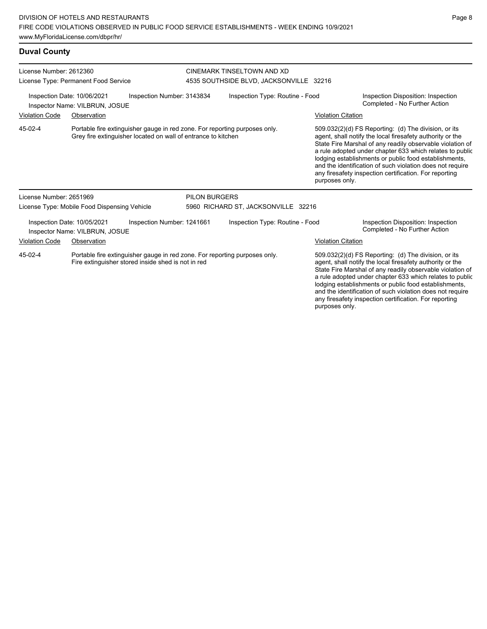**Duval County**

| License Number: 2612360                                                                                                                     |                                                               |                                                                                                                                             |                      | CINEMARK TINSELTOWN AND XD              |                                                                                                                                                                                                                                                                                                                                                                                                                                              |                                                                                                                                                                                                                                                                                                                                                                                                                            |  |
|---------------------------------------------------------------------------------------------------------------------------------------------|---------------------------------------------------------------|---------------------------------------------------------------------------------------------------------------------------------------------|----------------------|-----------------------------------------|----------------------------------------------------------------------------------------------------------------------------------------------------------------------------------------------------------------------------------------------------------------------------------------------------------------------------------------------------------------------------------------------------------------------------------------------|----------------------------------------------------------------------------------------------------------------------------------------------------------------------------------------------------------------------------------------------------------------------------------------------------------------------------------------------------------------------------------------------------------------------------|--|
|                                                                                                                                             | License Type: Permanent Food Service                          |                                                                                                                                             |                      | 4535 SOUTHSIDE BLVD, JACKSONVILLE 32216 |                                                                                                                                                                                                                                                                                                                                                                                                                                              |                                                                                                                                                                                                                                                                                                                                                                                                                            |  |
|                                                                                                                                             | Inspection Date: 10/06/2021<br>Inspector Name: VILBRUN, JOSUE | Inspection Number: 3143834                                                                                                                  |                      | Inspection Type: Routine - Food         |                                                                                                                                                                                                                                                                                                                                                                                                                                              | Inspection Disposition: Inspection<br>Completed - No Further Action                                                                                                                                                                                                                                                                                                                                                        |  |
| <b>Violation Code</b>                                                                                                                       | Observation                                                   |                                                                                                                                             |                      |                                         | <b>Violation Citation</b>                                                                                                                                                                                                                                                                                                                                                                                                                    |                                                                                                                                                                                                                                                                                                                                                                                                                            |  |
| 45-02-4                                                                                                                                     |                                                               | Portable fire extinguisher gauge in red zone. For reporting purposes only.<br>Grey fire extinguisher located on wall of entrance to kitchen |                      |                                         | purposes only.                                                                                                                                                                                                                                                                                                                                                                                                                               | 509.032(2)(d) FS Reporting: (d) The division, or its<br>agent, shall notify the local firesafety authority or the<br>State Fire Marshal of any readily observable violation of<br>a rule adopted under chapter 633 which relates to public<br>lodging establishments or public food establishments,<br>and the identification of such violation does not require<br>any firesafety inspection certification. For reporting |  |
| License Number: 2651969                                                                                                                     |                                                               |                                                                                                                                             | <b>PILON BURGERS</b> |                                         |                                                                                                                                                                                                                                                                                                                                                                                                                                              |                                                                                                                                                                                                                                                                                                                                                                                                                            |  |
|                                                                                                                                             | License Type: Mobile Food Dispensing Vehicle                  |                                                                                                                                             |                      | 5960 RICHARD ST, JACKSONVILLE 32216     |                                                                                                                                                                                                                                                                                                                                                                                                                                              |                                                                                                                                                                                                                                                                                                                                                                                                                            |  |
|                                                                                                                                             | Inspection Date: 10/05/2021<br>Inspector Name: VILBRUN, JOSUE | Inspection Number: 1241661                                                                                                                  |                      | Inspection Type: Routine - Food         |                                                                                                                                                                                                                                                                                                                                                                                                                                              | Inspection Disposition: Inspection<br>Completed - No Further Action                                                                                                                                                                                                                                                                                                                                                        |  |
| <b>Violation Code</b>                                                                                                                       | Observation                                                   |                                                                                                                                             |                      |                                         | <b>Violation Citation</b>                                                                                                                                                                                                                                                                                                                                                                                                                    |                                                                                                                                                                                                                                                                                                                                                                                                                            |  |
| 45-02-4<br>Portable fire extinguisher gauge in red zone. For reporting purposes only.<br>Fire extinguisher stored inside shed is not in red |                                                               |                                                                                                                                             |                      |                                         | 509.032(2)(d) FS Reporting: (d) The division, or its<br>agent, shall notify the local firesafety authority or the<br>State Fire Marshal of any readily observable violation of<br>a rule adopted under chapter 633 which relates to public<br>lodging establishments or public food establishments,<br>and the identification of such violation does not require<br>any firesafety inspection certification. For reporting<br>purposes only. |                                                                                                                                                                                                                                                                                                                                                                                                                            |  |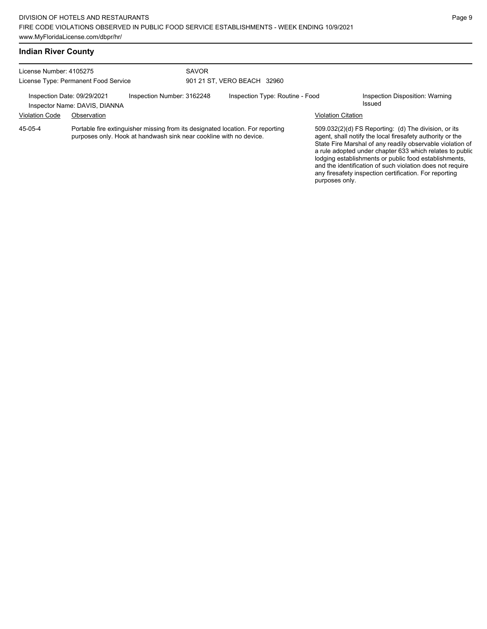| License Number: 4105275                                                                    |             | SAVOR                                                                                                                                                |                                 |  |                                           |                                                                                                                                                                                                                                                                                                                                                                                                                            |  |
|--------------------------------------------------------------------------------------------|-------------|------------------------------------------------------------------------------------------------------------------------------------------------------|---------------------------------|--|-------------------------------------------|----------------------------------------------------------------------------------------------------------------------------------------------------------------------------------------------------------------------------------------------------------------------------------------------------------------------------------------------------------------------------------------------------------------------------|--|
| License Type: Permanent Food Service                                                       |             |                                                                                                                                                      | 901 21 ST. VERO BEACH 32960     |  |                                           |                                                                                                                                                                                                                                                                                                                                                                                                                            |  |
| Inspection Number: 3162248<br>Inspection Date: 09/29/2021<br>Inspector Name: DAVIS, DIANNA |             |                                                                                                                                                      | Inspection Type: Routine - Food |  | Inspection Disposition: Warning<br>Issued |                                                                                                                                                                                                                                                                                                                                                                                                                            |  |
| <b>Violation Code</b>                                                                      | Observation |                                                                                                                                                      |                                 |  | <b>Violation Citation</b>                 |                                                                                                                                                                                                                                                                                                                                                                                                                            |  |
| 45-05-4                                                                                    |             | Portable fire extinguisher missing from its designated location. For reporting<br>purposes only. Hook at handwash sink near cookline with no device. |                                 |  |                                           | 509.032(2)(d) FS Reporting: (d) The division, or its<br>agent, shall notify the local firesafety authority or the<br>State Fire Marshal of any readily observable violation of<br>a rule adopted under chapter 633 which relates to public<br>lodging establishments or public food establishments,<br>and the identification of such violation does not require<br>any firesafety inspection certification. For reporting |  |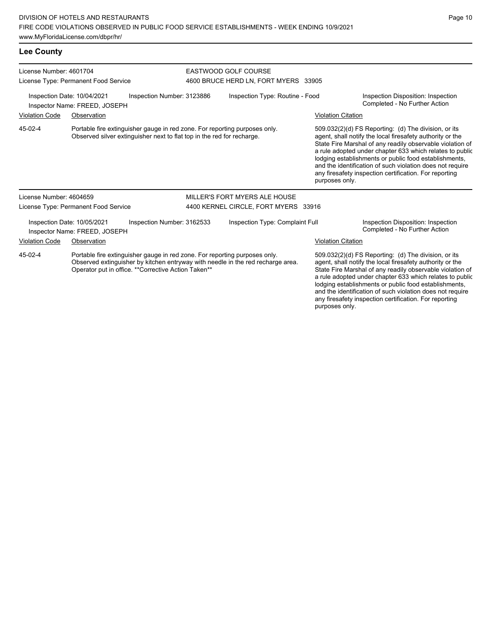| License Number: 4601704<br>License Type: Permanent Food Service                                                                               |                                                              |                                                                                                                                                      | EASTWOOD GOLF COURSE<br>4600 BRUCE HERD LN, FORT MYERS 33905                    |                                 |  |                                                                                                                                                                                                                                                                                                                                                                                                                                              |  |
|-----------------------------------------------------------------------------------------------------------------------------------------------|--------------------------------------------------------------|------------------------------------------------------------------------------------------------------------------------------------------------------|---------------------------------------------------------------------------------|---------------------------------|--|----------------------------------------------------------------------------------------------------------------------------------------------------------------------------------------------------------------------------------------------------------------------------------------------------------------------------------------------------------------------------------------------------------------------------------------------|--|
| Inspection Date: 10/04/2021<br>Inspection Number: 3123886<br>Inspector Name: FREED, JOSEPH                                                    |                                                              |                                                                                                                                                      |                                                                                 | Inspection Type: Routine - Food |  | Inspection Disposition: Inspection<br>Completed - No Further Action                                                                                                                                                                                                                                                                                                                                                                          |  |
| <b>Violation Code</b><br>Observation                                                                                                          |                                                              |                                                                                                                                                      |                                                                                 |                                 |  | <b>Violation Citation</b>                                                                                                                                                                                                                                                                                                                                                                                                                    |  |
| 45-02-4                                                                                                                                       |                                                              | Portable fire extinguisher gauge in red zone. For reporting purposes only.<br>Observed silver extinguisher next to flat top in the red for recharge. |                                                                                 |                                 |  | 509.032(2)(d) FS Reporting: (d) The division, or its<br>agent, shall notify the local firesafety authority or the<br>State Fire Marshal of any readily observable violation of<br>a rule adopted under chapter 633 which relates to public<br>lodging establishments or public food establishments,<br>and the identification of such violation does not require<br>any firesafety inspection certification. For reporting<br>purposes only. |  |
| License Number: 4604659                                                                                                                       |                                                              |                                                                                                                                                      |                                                                                 | MILLER'S FORT MYERS ALE HOUSE   |  |                                                                                                                                                                                                                                                                                                                                                                                                                                              |  |
|                                                                                                                                               | License Type: Permanent Food Service                         |                                                                                                                                                      | 4400 KERNEL CIRCLE, FORT MYERS 33916                                            |                                 |  |                                                                                                                                                                                                                                                                                                                                                                                                                                              |  |
|                                                                                                                                               | Inspection Date: 10/05/2021<br>Inspector Name: FREED, JOSEPH | Inspection Number: 3162533                                                                                                                           |                                                                                 | Inspection Type: Complaint Full |  | Inspection Disposition: Inspection<br>Completed - No Further Action                                                                                                                                                                                                                                                                                                                                                                          |  |
| <b>Violation Code</b>                                                                                                                         | Observation                                                  |                                                                                                                                                      |                                                                                 |                                 |  | <b>Violation Citation</b>                                                                                                                                                                                                                                                                                                                                                                                                                    |  |
| 45-02-4<br>Portable fire extinguisher gauge in red zone. For reporting purposes only.<br>Operator put in office. ** Corrective Action Taken** |                                                              |                                                                                                                                                      | Observed extinguisher by kitchen entryway with needle in the red recharge area. |                                 |  | 509.032(2)(d) FS Reporting: (d) The division, or its<br>agent, shall notify the local firesafety authority or the<br>State Fire Marshal of any readily observable violation of<br>a rule adopted under chapter 633 which relates to public<br>lodging establishments or public food establishments,<br>and the identification of such violation does not require                                                                             |  |

any firesafety inspection certification. For reporting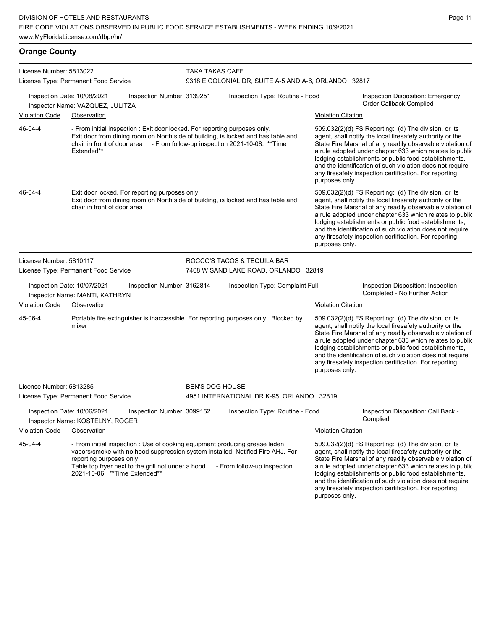| License Number: 5813022                                                                     |                                                                                                                                                                                                                                                                                    | <b>TAKA TAKAS CAFE</b>     |                                                      |                                                                                                                                                                                                                                                                                                                                                                                                                                              |                                                                                                                                                                                                                                                                                                                                                                                                                            |  |
|---------------------------------------------------------------------------------------------|------------------------------------------------------------------------------------------------------------------------------------------------------------------------------------------------------------------------------------------------------------------------------------|----------------------------|------------------------------------------------------|----------------------------------------------------------------------------------------------------------------------------------------------------------------------------------------------------------------------------------------------------------------------------------------------------------------------------------------------------------------------------------------------------------------------------------------------|----------------------------------------------------------------------------------------------------------------------------------------------------------------------------------------------------------------------------------------------------------------------------------------------------------------------------------------------------------------------------------------------------------------------------|--|
|                                                                                             | License Type: Permanent Food Service                                                                                                                                                                                                                                               |                            | 9318 E COLONIAL DR, SUITE A-5 AND A-6, ORLANDO 32817 |                                                                                                                                                                                                                                                                                                                                                                                                                                              |                                                                                                                                                                                                                                                                                                                                                                                                                            |  |
|                                                                                             | Inspection Date: 10/08/2021<br>Inspector Name: VAZQUEZ, JULITZA                                                                                                                                                                                                                    | Inspection Number: 3139251 | Inspection Type: Routine - Food                      |                                                                                                                                                                                                                                                                                                                                                                                                                                              | Inspection Disposition: Emergency<br>Order Callback Complied                                                                                                                                                                                                                                                                                                                                                               |  |
| <b>Violation Code</b>                                                                       | Observation                                                                                                                                                                                                                                                                        |                            |                                                      | Violation Citation                                                                                                                                                                                                                                                                                                                                                                                                                           |                                                                                                                                                                                                                                                                                                                                                                                                                            |  |
| 46-04-4                                                                                     | - From initial inspection : Exit door locked. For reporting purposes only.<br>Exit door from dining room on North side of building, is locked and has table and<br>chair in front of door area - From follow-up inspection 2021-10-08: ** Time<br>Extended**                       |                            |                                                      | 509.032(2)(d) FS Reporting: (d) The division, or its<br>agent, shall notify the local firesafety authority or the<br>State Fire Marshal of any readily observable violation of<br>a rule adopted under chapter 633 which relates to public<br>lodging establishments or public food establishments,<br>and the identification of such violation does not require<br>any firesafety inspection certification. For reporting<br>purposes only. |                                                                                                                                                                                                                                                                                                                                                                                                                            |  |
| 46-04-4                                                                                     | Exit door locked. For reporting purposes only.<br>Exit door from dining room on North side of building, is locked and has table and<br>chair in front of door area                                                                                                                 |                            |                                                      | purposes only.                                                                                                                                                                                                                                                                                                                                                                                                                               | 509.032(2)(d) FS Reporting: (d) The division, or its<br>agent, shall notify the local firesafety authority or the<br>State Fire Marshal of any readily observable violation of<br>a rule adopted under chapter 633 which relates to public<br>lodging establishments or public food establishments,<br>and the identification of such violation does not require<br>any firesafety inspection certification. For reporting |  |
| License Number: 5810117                                                                     |                                                                                                                                                                                                                                                                                    |                            | ROCCO'S TACOS & TEQUILA BAR                          |                                                                                                                                                                                                                                                                                                                                                                                                                                              |                                                                                                                                                                                                                                                                                                                                                                                                                            |  |
| License Type: Permanent Food Service                                                        |                                                                                                                                                                                                                                                                                    |                            | 7468 W SAND LAKE ROAD, ORLANDO 32819                 |                                                                                                                                                                                                                                                                                                                                                                                                                                              |                                                                                                                                                                                                                                                                                                                                                                                                                            |  |
| Inspection Date: 10/07/2021<br>Inspection Number: 3162814<br>Inspector Name: MANTI, KATHRYN |                                                                                                                                                                                                                                                                                    |                            | Inspection Type: Complaint Full                      |                                                                                                                                                                                                                                                                                                                                                                                                                                              | Inspection Disposition: Inspection<br>Completed - No Further Action                                                                                                                                                                                                                                                                                                                                                        |  |
| <b>Violation Code</b>                                                                       | Observation                                                                                                                                                                                                                                                                        |                            |                                                      | <b>Violation Citation</b>                                                                                                                                                                                                                                                                                                                                                                                                                    |                                                                                                                                                                                                                                                                                                                                                                                                                            |  |
| 45-06-4                                                                                     | Portable fire extinguisher is inaccessible. For reporting purposes only. Blocked by<br>mixer                                                                                                                                                                                       |                            |                                                      | purposes only.                                                                                                                                                                                                                                                                                                                                                                                                                               | 509.032(2)(d) FS Reporting: (d) The division, or its<br>agent, shall notify the local firesafety authority or the<br>State Fire Marshal of any readily observable violation of<br>a rule adopted under chapter 633 which relates to public<br>lodging establishments or public food establishments,<br>and the identification of such violation does not require<br>any firesafety inspection certification. For reporting |  |
| License Number: 5813285                                                                     |                                                                                                                                                                                                                                                                                    |                            | <b>BEN'S DOG HOUSE</b>                               |                                                                                                                                                                                                                                                                                                                                                                                                                                              |                                                                                                                                                                                                                                                                                                                                                                                                                            |  |
|                                                                                             | License Type: Permanent Food Service                                                                                                                                                                                                                                               |                            | 4951 INTERNATIONAL DR K-95, ORLANDO 32819            |                                                                                                                                                                                                                                                                                                                                                                                                                                              |                                                                                                                                                                                                                                                                                                                                                                                                                            |  |
|                                                                                             | Inspection Date: 10/06/2021<br>Inspector Name: KOSTELNY, ROGER                                                                                                                                                                                                                     | Inspection Number: 3099152 | Inspection Type: Routine - Food                      |                                                                                                                                                                                                                                                                                                                                                                                                                                              | Inspection Disposition: Call Back -<br>Complied                                                                                                                                                                                                                                                                                                                                                                            |  |
| <b>Violation Code</b>                                                                       | Observation                                                                                                                                                                                                                                                                        |                            |                                                      | <b>Violation Citation</b>                                                                                                                                                                                                                                                                                                                                                                                                                    |                                                                                                                                                                                                                                                                                                                                                                                                                            |  |
| 45-04-4                                                                                     | - From initial inspection : Use of cooking equipment producing grease laden<br>vapors/smoke with no hood suppression system installed. Notified Fire AHJ. For<br>reporting purposes only.<br>Table top fryer next to the grill not under a hood.<br>2021-10-06: ** Time Extended** |                            | - From follow-up inspection                          |                                                                                                                                                                                                                                                                                                                                                                                                                                              | 509.032(2)(d) FS Reporting: (d) The division, or its<br>agent, shall notify the local firesafety authority or the<br>State Fire Marshal of any readily observable violation of<br>a rule adopted under chapter 633 which relates to public<br>lodging establishments or public food establishments,<br>and the identification of such violation does not require<br>any firesafety inspection certification. For reporting |  |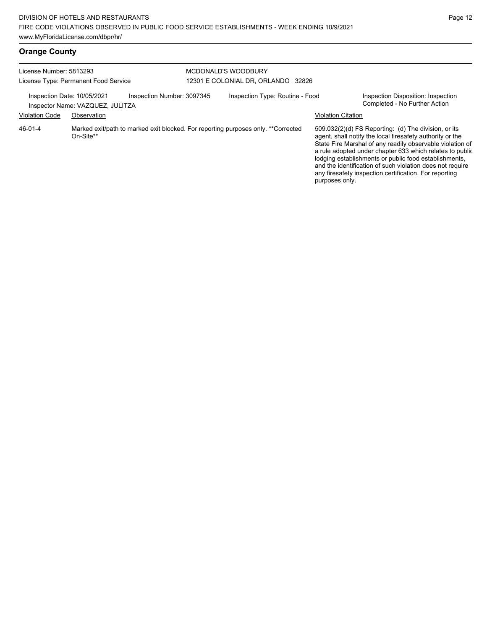| License Number: 5813293<br>License Type: Permanent Food Service |                                  |                            | <b>MCDONALD'S WOODBURY</b><br>12301 E COLONIAL DR. ORLANDO 32826 |                                                                                   |                           |                                                                                                                                                                                                                                                                                                                                                                                                                            |  |
|-----------------------------------------------------------------|----------------------------------|----------------------------|------------------------------------------------------------------|-----------------------------------------------------------------------------------|---------------------------|----------------------------------------------------------------------------------------------------------------------------------------------------------------------------------------------------------------------------------------------------------------------------------------------------------------------------------------------------------------------------------------------------------------------------|--|
| Inspection Date: 10/05/2021                                     | Inspector Name: VAZQUEZ, JULITZA | Inspection Number: 3097345 |                                                                  | Inspection Type: Routine - Food                                                   |                           | Inspection Disposition: Inspection<br>Completed - No Further Action                                                                                                                                                                                                                                                                                                                                                        |  |
| <b>Violation Code</b>                                           | Observation                      |                            |                                                                  |                                                                                   | <b>Violation Citation</b> |                                                                                                                                                                                                                                                                                                                                                                                                                            |  |
| 46-01-4                                                         | On-Site**                        |                            |                                                                  | Marked exit/path to marked exit blocked. For reporting purposes only. **Corrected | purposes only.            | 509.032(2)(d) FS Reporting: (d) The division, or its<br>agent, shall notify the local firesafety authority or the<br>State Fire Marshal of any readily observable violation of<br>a rule adopted under chapter 633 which relates to public<br>lodging establishments or public food establishments,<br>and the identification of such violation does not require<br>any firesafety inspection certification. For reporting |  |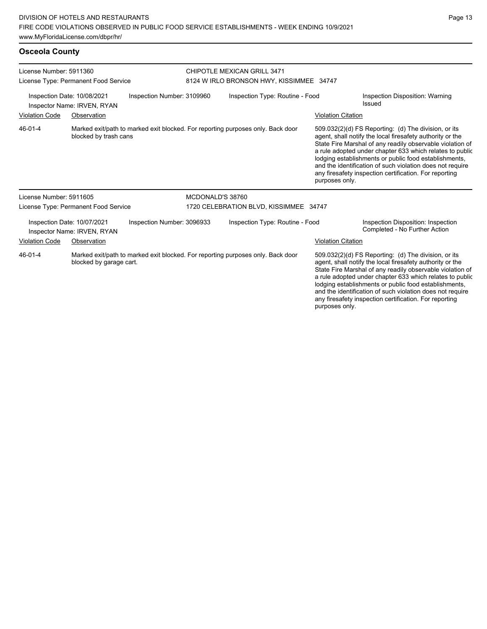**Osceola County**

License Number: 5911360 License Type: Permanent Food Service CHIPOTLE MEXICAN GRILL 3471 8124 W IRLO BRONSON HWY, KISSIMMEE 34747 Inspection Date: 10/08/2021 Inspection Number: 3109960 Inspection Type: Routine - Food Inspection Disposition: Warning Issued Inspector Name: IRVEN, RYAN Violation Code Observation Violation Citation Marked exit/path to marked exit blocked. For reporting purposes only. Back door blocked by trash cans 509.032(2)(d) FS Reporting: (d) The division, or its agent, shall notify the local firesafety authority or the State Fire Marshal of any readily observable violation of a rule adopted under chapter 633 which relates to public lodging establishments or public food establishments, and the identification of such violation does not require any firesafety inspection certification. For reporting purposes only. 46-01-4 License Number: 5911605 License Type: Permanent Food Service MCDONALD'S 38760 1720 CELEBRATION BLVD, KISSIMMEE 34747 Inspection Date: 10/07/2021 Inspection Number: 3096933 Inspection Type: Routine - Food Inspection Disposition: Inspection<br>Inspector Name: IRVEN\_RYAN Inspector Name: IRVEN, RYAN Violation Code Observation Violation Citation Marked exit/path to marked exit blocked. For reporting purposes only. Back door blocked by garage cart. 509.032(2)(d) FS Reporting: (d) The division, or its agent, shall notify the local firesafety authority or the State Fire Marshal of any readily observable violation of a rule adopted under chapter 633 which relates to public lodging establishments or public food establishments, 46-01-4

and the identification of such violation does not require any firesafety inspection certification. For reporting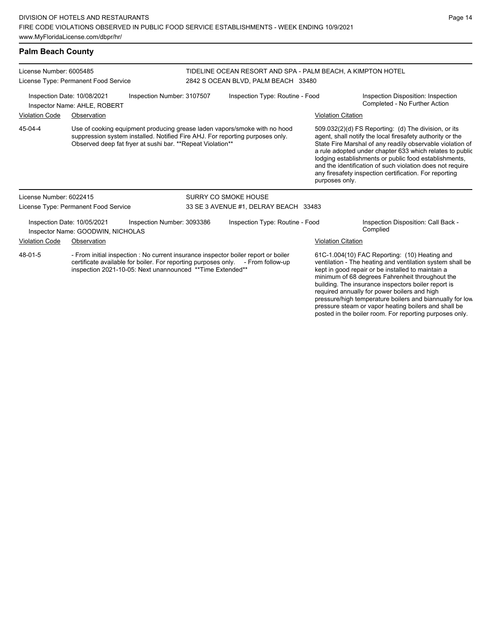### **Palm Beach County**

| License Number: 6005485<br>License Type: Permanent Food Service                                                                                                                                                                                |                                                                  |                                                            | TIDELINE OCEAN RESORT AND SPA - PALM BEACH. A KIMPTON HOTEL<br>2842 S OCEAN BLVD, PALM BEACH 33480 |                                                                                                                                                            |                                                                                                                                                                                                                                                                           |                                                                                                                                                                                                                                                                                                                                                                                                                            |  |
|------------------------------------------------------------------------------------------------------------------------------------------------------------------------------------------------------------------------------------------------|------------------------------------------------------------------|------------------------------------------------------------|----------------------------------------------------------------------------------------------------|------------------------------------------------------------------------------------------------------------------------------------------------------------|---------------------------------------------------------------------------------------------------------------------------------------------------------------------------------------------------------------------------------------------------------------------------|----------------------------------------------------------------------------------------------------------------------------------------------------------------------------------------------------------------------------------------------------------------------------------------------------------------------------------------------------------------------------------------------------------------------------|--|
|                                                                                                                                                                                                                                                | Inspection Date: 10/08/2021<br>Inspector Name: AHLE, ROBERT      | Inspection Number: 3107507                                 |                                                                                                    | Inspection Type: Routine - Food                                                                                                                            | Inspection Disposition: Inspection<br>Completed - No Further Action                                                                                                                                                                                                       |                                                                                                                                                                                                                                                                                                                                                                                                                            |  |
| <b>Violation Code</b>                                                                                                                                                                                                                          | Observation                                                      |                                                            |                                                                                                    |                                                                                                                                                            | <b>Violation Citation</b>                                                                                                                                                                                                                                                 |                                                                                                                                                                                                                                                                                                                                                                                                                            |  |
| 45-04-4                                                                                                                                                                                                                                        |                                                                  | Observed deep fat fryer at sushi bar. **Repeat Violation** |                                                                                                    | Use of cooking equipment producing grease laden vapors/smoke with no hood<br>suppression system installed. Notified Fire AHJ. For reporting purposes only. | purposes only.                                                                                                                                                                                                                                                            | 509.032(2)(d) FS Reporting: (d) The division, or its<br>agent, shall notify the local firesafety authority or the<br>State Fire Marshal of any readily observable violation of<br>a rule adopted under chapter 633 which relates to public<br>lodging establishments or public food establishments,<br>and the identification of such violation does not require<br>any firesafety inspection certification. For reporting |  |
| License Number: 6022415                                                                                                                                                                                                                        |                                                                  |                                                            | SURRY CO SMOKE HOUSE                                                                               |                                                                                                                                                            |                                                                                                                                                                                                                                                                           |                                                                                                                                                                                                                                                                                                                                                                                                                            |  |
|                                                                                                                                                                                                                                                | License Type: Permanent Food Service                             |                                                            |                                                                                                    | 33 SE 3 AVENUE #1, DELRAY BEACH 33483                                                                                                                      |                                                                                                                                                                                                                                                                           |                                                                                                                                                                                                                                                                                                                                                                                                                            |  |
|                                                                                                                                                                                                                                                | Inspection Date: 10/05/2021<br>Inspector Name: GOODWIN, NICHOLAS | Inspection Number: 3093386                                 |                                                                                                    | Inspection Type: Routine - Food                                                                                                                            |                                                                                                                                                                                                                                                                           | Inspection Disposition: Call Back -<br>Complied                                                                                                                                                                                                                                                                                                                                                                            |  |
| <b>Violation Code</b>                                                                                                                                                                                                                          | Observation                                                      |                                                            |                                                                                                    |                                                                                                                                                            | <b>Violation Citation</b>                                                                                                                                                                                                                                                 |                                                                                                                                                                                                                                                                                                                                                                                                                            |  |
| - From initial inspection : No current insurance inspector boiler report or boiler<br>48-01-5<br>certificate available for boiler. For reporting purposes only. - From follow-up<br>inspection 2021-10-05: Next unannounced ** Time Extended** |                                                                  |                                                            |                                                                                                    |                                                                                                                                                            | 61C-1.004(10) FAC Reporting: (10) Heating and<br>ventilation - The heating and ventilation system shall be<br>kept in good repair or be installed to maintain a<br>minimum of 68 degrees Fahrenheit throughout the<br>building. The insurance inspectors boiler report is |                                                                                                                                                                                                                                                                                                                                                                                                                            |  |

building. The insurance inspectors boiler report is required annually for power boilers and high pressure/high temperature boilers and biannually for low pressure steam or vapor heating boilers and shall be posted in the boiler room. For reporting purposes only.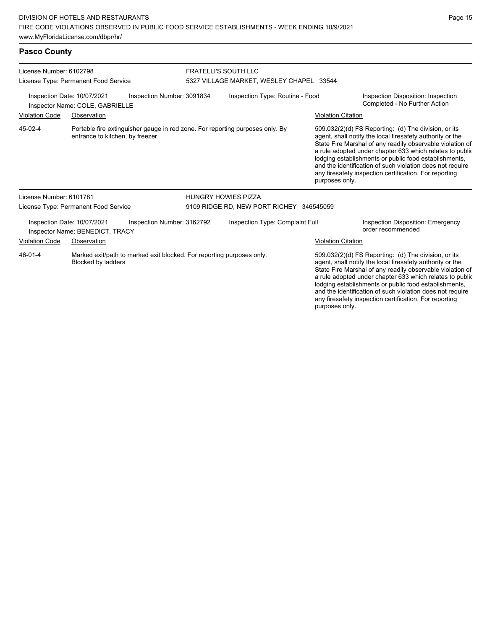**Pasco County**

| License Number: 6102798<br>License Type: Permanent Food Service                                                              |                                                                |                            | <b>FRATELLI'S SOUTH LLC</b><br>5327 VILLAGE MARKET, WESLEY CHAPEL 33544 |                                                                                                                                                                                                                                                                                                                                                                                                                                              |                                                                                                                                                                                                                                                                                                                                                                                                                            |                                                                     |  |
|------------------------------------------------------------------------------------------------------------------------------|----------------------------------------------------------------|----------------------------|-------------------------------------------------------------------------|----------------------------------------------------------------------------------------------------------------------------------------------------------------------------------------------------------------------------------------------------------------------------------------------------------------------------------------------------------------------------------------------------------------------------------------------|----------------------------------------------------------------------------------------------------------------------------------------------------------------------------------------------------------------------------------------------------------------------------------------------------------------------------------------------------------------------------------------------------------------------------|---------------------------------------------------------------------|--|
|                                                                                                                              | Inspection Date: 10/07/2021<br>Inspector Name: COLE, GABRIELLE | Inspection Number: 3091834 |                                                                         | Inspection Type: Routine - Food                                                                                                                                                                                                                                                                                                                                                                                                              |                                                                                                                                                                                                                                                                                                                                                                                                                            | Inspection Disposition: Inspection<br>Completed - No Further Action |  |
| <b>Violation Code</b>                                                                                                        | Observation                                                    |                            |                                                                         |                                                                                                                                                                                                                                                                                                                                                                                                                                              | <b>Violation Citation</b>                                                                                                                                                                                                                                                                                                                                                                                                  |                                                                     |  |
| 45-02-4<br>Portable fire extinguisher gauge in red zone. For reporting purposes only. By<br>entrance to kitchen, by freezer. |                                                                |                            |                                                                         | 509.032(2)(d) FS Reporting: (d) The division, or its<br>agent, shall notify the local firesafety authority or the<br>State Fire Marshal of any readily observable violation of<br>a rule adopted under chapter 633 which relates to public<br>lodging establishments or public food establishments,<br>and the identification of such violation does not require<br>any firesafety inspection certification. For reporting<br>purposes only. |                                                                                                                                                                                                                                                                                                                                                                                                                            |                                                                     |  |
| License Number: 6101781                                                                                                      |                                                                |                            | <b>HUNGRY HOWIES PIZZA</b>                                              |                                                                                                                                                                                                                                                                                                                                                                                                                                              |                                                                                                                                                                                                                                                                                                                                                                                                                            |                                                                     |  |
|                                                                                                                              | License Type: Permanent Food Service                           |                            | 9109 RIDGE RD, NEW PORT RICHEY 346545059                                |                                                                                                                                                                                                                                                                                                                                                                                                                                              |                                                                                                                                                                                                                                                                                                                                                                                                                            |                                                                     |  |
|                                                                                                                              | Inspection Date: 10/07/2021<br>Inspector Name: BENEDICT, TRACY | Inspection Number: 3162792 |                                                                         | Inspection Type: Complaint Full                                                                                                                                                                                                                                                                                                                                                                                                              |                                                                                                                                                                                                                                                                                                                                                                                                                            | <b>Inspection Disposition: Emergency</b><br>order recommended       |  |
| <b>Violation Code</b>                                                                                                        | Observation                                                    |                            |                                                                         |                                                                                                                                                                                                                                                                                                                                                                                                                                              | <b>Violation Citation</b>                                                                                                                                                                                                                                                                                                                                                                                                  |                                                                     |  |
| 46-01-4<br>Marked exit/path to marked exit blocked. For reporting purposes only.<br><b>Blocked by ladders</b>                |                                                                |                            |                                                                         |                                                                                                                                                                                                                                                                                                                                                                                                                                              | 509.032(2)(d) FS Reporting: (d) The division, or its<br>agent, shall notify the local firesafety authority or the<br>State Fire Marshal of any readily observable violation of<br>a rule adopted under chapter 633 which relates to public<br>lodging establishments or public food establishments,<br>and the identification of such violation does not require<br>any firesafety inspection certification. For reporting |                                                                     |  |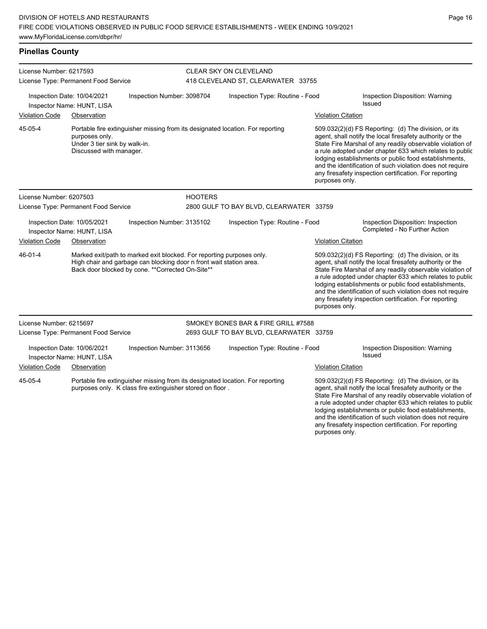**Pinellas County**

| License Number: 6217593<br>License Type: Permanent Food Service                         |                                                                            |                                                                                                                                                                                                   |                | <b>CLEAR SKY ON CLEVELAND</b><br>418 CLEVELAND ST, CLEARWATER 33755 |                           |                                                                                                                                                                                                                                                                                                                                                                                                                            |  |  |
|-----------------------------------------------------------------------------------------|----------------------------------------------------------------------------|---------------------------------------------------------------------------------------------------------------------------------------------------------------------------------------------------|----------------|---------------------------------------------------------------------|---------------------------|----------------------------------------------------------------------------------------------------------------------------------------------------------------------------------------------------------------------------------------------------------------------------------------------------------------------------------------------------------------------------------------------------------------------------|--|--|
| Inspection Date: 10/04/2021<br>Inspection Number: 3098704<br>Inspector Name: HUNT, LISA |                                                                            |                                                                                                                                                                                                   |                | Inspection Type: Routine - Food                                     |                           | Inspection Disposition: Warning<br>Issued                                                                                                                                                                                                                                                                                                                                                                                  |  |  |
| <b>Violation Code</b>                                                                   | Observation                                                                |                                                                                                                                                                                                   |                |                                                                     | <b>Violation Citation</b> |                                                                                                                                                                                                                                                                                                                                                                                                                            |  |  |
| 45-05-4                                                                                 | purposes only.<br>Under 3 tier sink by walk-in.<br>Discussed with manager. | Portable fire extinguisher missing from its designated location. For reporting                                                                                                                    |                |                                                                     | purposes only.            | 509.032(2)(d) FS Reporting: (d) The division, or its<br>agent, shall notify the local firesafety authority or the<br>State Fire Marshal of any readily observable violation of<br>a rule adopted under chapter 633 which relates to public<br>lodging establishments or public food establishments,<br>and the identification of such violation does not require<br>any firesafety inspection certification. For reporting |  |  |
| License Number: 6207503                                                                 |                                                                            |                                                                                                                                                                                                   | <b>HOOTERS</b> |                                                                     |                           |                                                                                                                                                                                                                                                                                                                                                                                                                            |  |  |
| License Type: Permanent Food Service                                                    |                                                                            |                                                                                                                                                                                                   |                | 2800 GULF TO BAY BLVD, CLEARWATER 33759                             |                           |                                                                                                                                                                                                                                                                                                                                                                                                                            |  |  |
|                                                                                         | Inspection Date: 10/05/2021<br>Inspector Name: HUNT, LISA                  | Inspection Number: 3135102                                                                                                                                                                        |                | Inspection Type: Routine - Food                                     |                           | Inspection Disposition: Inspection<br>Completed - No Further Action                                                                                                                                                                                                                                                                                                                                                        |  |  |
| <b>Violation Code</b>                                                                   | Observation                                                                |                                                                                                                                                                                                   |                |                                                                     | <b>Violation Citation</b> |                                                                                                                                                                                                                                                                                                                                                                                                                            |  |  |
| 46-01-4                                                                                 |                                                                            | Marked exit/path to marked exit blocked. For reporting purposes only.<br>High chair and garbage can blocking door n front wait station area.<br>Back door blocked by cone. ** Corrected On-Site** |                |                                                                     | purposes only.            | 509.032(2)(d) FS Reporting: (d) The division, or its<br>agent, shall notify the local firesafety authority or the<br>State Fire Marshal of any readily observable violation of<br>a rule adopted under chapter 633 which relates to public<br>lodging establishments or public food establishments,<br>and the identification of such violation does not require<br>any firesafety inspection certification. For reporting |  |  |
| License Number: 6215697                                                                 |                                                                            |                                                                                                                                                                                                   |                | SMOKEY BONES BAR & FIRE GRILL #7588                                 |                           |                                                                                                                                                                                                                                                                                                                                                                                                                            |  |  |
|                                                                                         | License Type: Permanent Food Service                                       |                                                                                                                                                                                                   |                | 2693 GULF TO BAY BLVD, CLEARWATER 33759                             |                           |                                                                                                                                                                                                                                                                                                                                                                                                                            |  |  |
|                                                                                         | Inspection Date: 10/06/2021<br>Inspector Name: HUNT, LISA                  | Inspection Number: 3113656                                                                                                                                                                        |                | Inspection Type: Routine - Food                                     |                           | Inspection Disposition: Warning<br><b>Issued</b>                                                                                                                                                                                                                                                                                                                                                                           |  |  |
| <b>Violation Code</b>                                                                   | Observation                                                                |                                                                                                                                                                                                   |                |                                                                     | <b>Violation Citation</b> |                                                                                                                                                                                                                                                                                                                                                                                                                            |  |  |
| 45-05-4                                                                                 |                                                                            | Portable fire extinguisher missing from its designated location. For reporting<br>purposes only. K class fire extinguisher stored on floor.                                                       |                |                                                                     | purposes only.            | 509.032(2)(d) FS Reporting: (d) The division, or its<br>agent, shall notify the local firesafety authority or the<br>State Fire Marshal of any readily observable violation of<br>a rule adopted under chapter 633 which relates to public<br>lodging establishments or public food establishments,<br>and the identification of such violation does not require<br>any firesafety inspection certification. For reporting |  |  |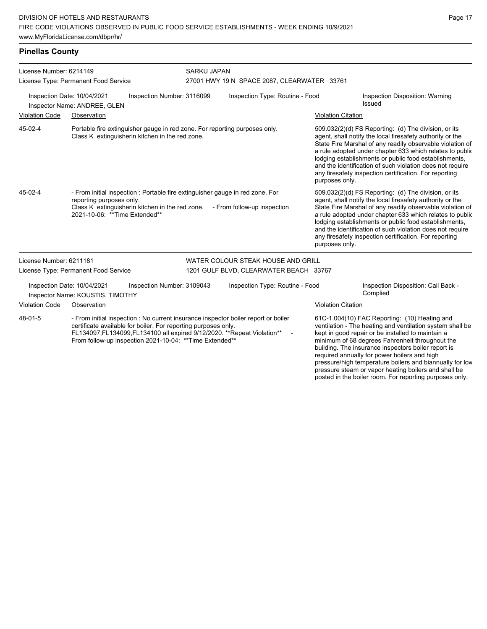| License Number: 6214149<br>License Type: Permanent Food Service                                                                                                                                                                                                                                          |                                                                                                                               |                                                                                                                                  | <b>SARKU JAPAN</b><br>27001 HWY 19 N SPACE 2087, CLEARWATER 33761 |                                 |                                                                                                                                                                                                                                                                                                                                                                                                                                              |                                                                                                                                                                                                                                                                                                                                                                                                                            |  |
|----------------------------------------------------------------------------------------------------------------------------------------------------------------------------------------------------------------------------------------------------------------------------------------------------------|-------------------------------------------------------------------------------------------------------------------------------|----------------------------------------------------------------------------------------------------------------------------------|-------------------------------------------------------------------|---------------------------------|----------------------------------------------------------------------------------------------------------------------------------------------------------------------------------------------------------------------------------------------------------------------------------------------------------------------------------------------------------------------------------------------------------------------------------------------|----------------------------------------------------------------------------------------------------------------------------------------------------------------------------------------------------------------------------------------------------------------------------------------------------------------------------------------------------------------------------------------------------------------------------|--|
| Inspection Number: 3116099<br>Inspection Date: 10/04/2021<br>Inspector Name: ANDREE, GLEN                                                                                                                                                                                                                |                                                                                                                               |                                                                                                                                  |                                                                   | Inspection Type: Routine - Food |                                                                                                                                                                                                                                                                                                                                                                                                                                              | Inspection Disposition: Warning<br>Issued                                                                                                                                                                                                                                                                                                                                                                                  |  |
| <b>Violation Code</b>                                                                                                                                                                                                                                                                                    | Observation                                                                                                                   |                                                                                                                                  |                                                                   |                                 | <b>Violation Citation</b>                                                                                                                                                                                                                                                                                                                                                                                                                    |                                                                                                                                                                                                                                                                                                                                                                                                                            |  |
| 45-02-4                                                                                                                                                                                                                                                                                                  | Portable fire extinguisher gauge in red zone. For reporting purposes only.<br>Class K extinguisherin kitchen in the red zone. |                                                                                                                                  |                                                                   |                                 | 509.032(2)(d) FS Reporting: (d) The division, or its<br>agent, shall notify the local firesafety authority or the<br>State Fire Marshal of any readily observable violation of<br>a rule adopted under chapter 633 which relates to public<br>lodging establishments or public food establishments,<br>and the identification of such violation does not require<br>any firesafety inspection certification. For reporting<br>purposes only. |                                                                                                                                                                                                                                                                                                                                                                                                                            |  |
| $45-02-4$                                                                                                                                                                                                                                                                                                | reporting purposes only.<br>2021-10-06: **Time Extended**                                                                     | - From initial inspection : Portable fire extinguisher gauge in red zone. For<br>Class K extinguisherin kitchen in the red zone. |                                                                   | - From follow-up inspection     | purposes only.                                                                                                                                                                                                                                                                                                                                                                                                                               | 509.032(2)(d) FS Reporting: (d) The division, or its<br>agent, shall notify the local firesafety authority or the<br>State Fire Marshal of any readily observable violation of<br>a rule adopted under chapter 633 which relates to public<br>lodging establishments or public food establishments,<br>and the identification of such violation does not require<br>any firesafety inspection certification. For reporting |  |
| License Number: 6211181                                                                                                                                                                                                                                                                                  |                                                                                                                               |                                                                                                                                  | WATER COLOUR STEAK HOUSE AND GRILL                                |                                 |                                                                                                                                                                                                                                                                                                                                                                                                                                              |                                                                                                                                                                                                                                                                                                                                                                                                                            |  |
|                                                                                                                                                                                                                                                                                                          | License Type: Permanent Food Service                                                                                          |                                                                                                                                  | 1201 GULF BLVD, CLEARWATER BEACH 33767                            |                                 |                                                                                                                                                                                                                                                                                                                                                                                                                                              |                                                                                                                                                                                                                                                                                                                                                                                                                            |  |
| Inspection Date: 10/04/2021<br>Inspection Number: 3109043<br>Inspector Name: KOUSTIS, TIMOTHY                                                                                                                                                                                                            |                                                                                                                               |                                                                                                                                  |                                                                   | Inspection Type: Routine - Food |                                                                                                                                                                                                                                                                                                                                                                                                                                              | Inspection Disposition: Call Back -<br>Complied                                                                                                                                                                                                                                                                                                                                                                            |  |
| <b>Violation Code</b><br>Observation                                                                                                                                                                                                                                                                     |                                                                                                                               |                                                                                                                                  |                                                                   |                                 | <b>Violation Citation</b>                                                                                                                                                                                                                                                                                                                                                                                                                    |                                                                                                                                                                                                                                                                                                                                                                                                                            |  |
| 48-01-5<br>- From initial inspection : No current insurance inspector boiler report or boiler<br>certificate available for boiler. For reporting purposes only.<br>FL134097, FL134099, FL134100 all expired 9/12/2020. ** Repeat Violation**<br>From follow-up inspection 2021-10-04: ** Time Extended** |                                                                                                                               |                                                                                                                                  |                                                                   |                                 | 61C-1.004(10) FAC Reporting: (10) Heating and<br>ventilation - The heating and ventilation system shall be<br>kept in good repair or be installed to maintain a<br>minimum of 68 degrees Fahrenheit throughout the<br>building. The insurance inspectors boiler report is<br>required annually for power boilers and high<br>pressure/high temperature boilers and biannually for low                                                        |                                                                                                                                                                                                                                                                                                                                                                                                                            |  |

pressure steam or vapor heating boilers and shall be posted in the boiler room. For reporting purposes only.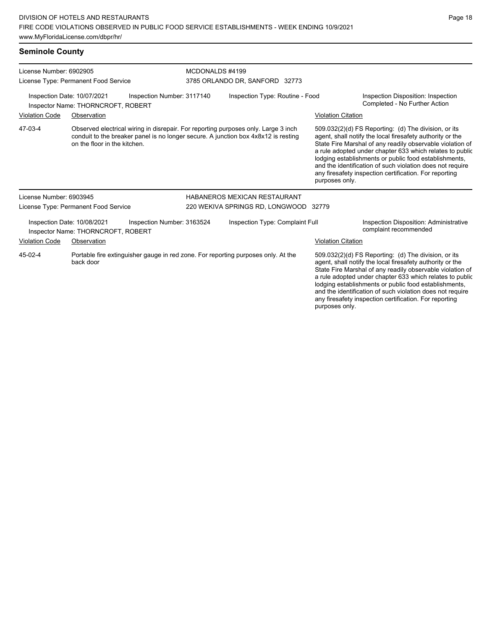## **Seminole County**

| License Number: 6902905                                                                                   | License Type: Permanent Food Service |                            | MCDONALDS #4199<br>3785 ORLANDO DR, SANFORD 32773 |                                                                                                                                                                          |                                                                                                                                                                                                                                                                                                                                                                                                                            |                                                                                                                                                                                                                                                                                                                                                                                                                            |
|-----------------------------------------------------------------------------------------------------------|--------------------------------------|----------------------------|---------------------------------------------------|--------------------------------------------------------------------------------------------------------------------------------------------------------------------------|----------------------------------------------------------------------------------------------------------------------------------------------------------------------------------------------------------------------------------------------------------------------------------------------------------------------------------------------------------------------------------------------------------------------------|----------------------------------------------------------------------------------------------------------------------------------------------------------------------------------------------------------------------------------------------------------------------------------------------------------------------------------------------------------------------------------------------------------------------------|
| Inspection Number: 3117140<br>Inspection Date: 10/07/2021<br>Inspector Name: THORNCROFT, ROBERT           |                                      |                            | Inspection Type: Routine - Food                   |                                                                                                                                                                          |                                                                                                                                                                                                                                                                                                                                                                                                                            | Inspection Disposition: Inspection<br>Completed - No Further Action                                                                                                                                                                                                                                                                                                                                                        |
| <b>Violation Code</b>                                                                                     | Observation                          |                            |                                                   |                                                                                                                                                                          | <b>Violation Citation</b>                                                                                                                                                                                                                                                                                                                                                                                                  |                                                                                                                                                                                                                                                                                                                                                                                                                            |
| 47-03-4                                                                                                   | on the floor in the kitchen.         |                            |                                                   | Observed electrical wiring in disrepair. For reporting purposes only. Large 3 inch<br>conduit to the breaker panel is no longer secure. A junction box 4x8x12 is resting | purposes only.                                                                                                                                                                                                                                                                                                                                                                                                             | 509.032(2)(d) FS Reporting: (d) The division, or its<br>agent, shall notify the local firesafety authority or the<br>State Fire Marshal of any readily observable violation of<br>a rule adopted under chapter 633 which relates to public<br>lodging establishments or public food establishments,<br>and the identification of such violation does not require<br>any firesafety inspection certification. For reporting |
| License Number: 6903945                                                                                   |                                      |                            |                                                   | <b>HABANEROS MEXICAN RESTAURANT</b>                                                                                                                                      |                                                                                                                                                                                                                                                                                                                                                                                                                            |                                                                                                                                                                                                                                                                                                                                                                                                                            |
|                                                                                                           | License Type: Permanent Food Service |                            |                                                   | 220 WEKIVA SPRINGS RD, LONGWOOD 32779                                                                                                                                    |                                                                                                                                                                                                                                                                                                                                                                                                                            |                                                                                                                                                                                                                                                                                                                                                                                                                            |
| Inspection Date: 10/08/2021                                                                               | Inspector Name: THORNCROFT, ROBERT   | Inspection Number: 3163524 |                                                   | Inspection Type: Complaint Full                                                                                                                                          |                                                                                                                                                                                                                                                                                                                                                                                                                            | Inspection Disposition: Administrative<br>complaint recommended                                                                                                                                                                                                                                                                                                                                                            |
| <b>Violation Code</b>                                                                                     | Observation                          |                            |                                                   |                                                                                                                                                                          | <b>Violation Citation</b>                                                                                                                                                                                                                                                                                                                                                                                                  |                                                                                                                                                                                                                                                                                                                                                                                                                            |
| 45-02-4<br>Portable fire extinguisher gauge in red zone. For reporting purposes only. At the<br>back door |                                      |                            |                                                   | purposes only.                                                                                                                                                           | 509.032(2)(d) FS Reporting: (d) The division, or its<br>agent, shall notify the local firesafety authority or the<br>State Fire Marshal of any readily observable violation of<br>a rule adopted under chapter 633 which relates to public<br>lodging establishments or public food establishments,<br>and the identification of such violation does not require<br>any firesafety inspection certification. For reporting |                                                                                                                                                                                                                                                                                                                                                                                                                            |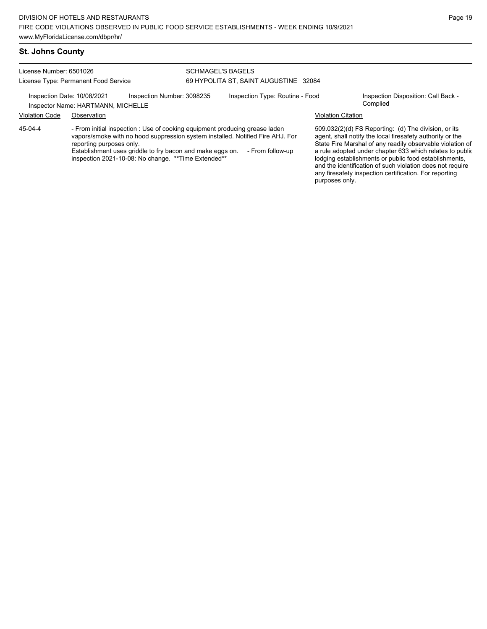#### **St. Johns County**

License Number: 6501026 License Type: Permanent Food Service SCHMAGEL'S BAGELS 69 HYPOLITA ST, SAINT AUGUSTINE 32084 Inspection Date: 10/08/2021 Inspection Number: 3098235 Inspection Type: Routine - Food Inspection Disposition: Call Back -<br>Inspector Name: HARTMANN\_MICHELLE Inspector Name: HARTMANN, MICHELLE Violation Code Observation Violation Citation

- From initial inspection : Use of cooking equipment producing grease laden vapors/smoke with no hood suppression system installed. Notified Fire AHJ. For reporting purposes only. 45-04-4

Establishment uses griddle to fry bacon and make eggs on. - From follow-up inspection 2021-10-08: No change. \*\*Time Extended\*\*

509.032(2)(d) FS Reporting: (d) The division, or its agent, shall notify the local firesafety authority or the State Fire Marshal of any readily observable violation of a rule adopted under chapter 633 which relates to public lodging establishments or public food establishments, and the identification of such violation does not require any firesafety inspection certification. For reporting purposes only.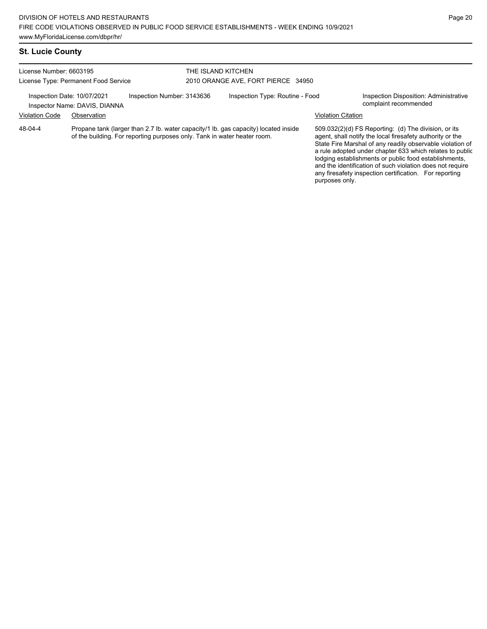| License Number: 6603195<br>License Type: Permanent Food Service |                                                              |                                                                          | THE ISLAND KITCHEN<br>2010 ORANGE AVE, FORT PIERCE 34950 |                                                                                     |                           |                                                                                                                                                                                |
|-----------------------------------------------------------------|--------------------------------------------------------------|--------------------------------------------------------------------------|----------------------------------------------------------|-------------------------------------------------------------------------------------|---------------------------|--------------------------------------------------------------------------------------------------------------------------------------------------------------------------------|
|                                                                 | Inspection Date: 10/07/2021<br>Inspector Name: DAVIS, DIANNA | Inspection Number: 3143636                                               |                                                          | Inspection Type: Routine - Food                                                     |                           | Inspection Disposition: Administrative<br>complaint recommended                                                                                                                |
| <b>Violation Code</b>                                           | Observation                                                  |                                                                          |                                                          |                                                                                     | <b>Violation Citation</b> |                                                                                                                                                                                |
| 48-04-4                                                         |                                                              | of the building. For reporting purposes only. Tank in water heater room. |                                                          | Propane tank (larger than 2.7 lb. water capacity/1 lb. gas capacity) located inside |                           | 509.032(2)(d) FS Reporting: (d) The division, or its<br>agent, shall notify the local firesafety authority or the<br>State Fire Marshal of any readily observable violation of |

a rule adopted under chapter 633 which relates to public lodging establishments or public food establishments, and the identification of such violation does not require any firesafety inspection certification. For reporting purposes only.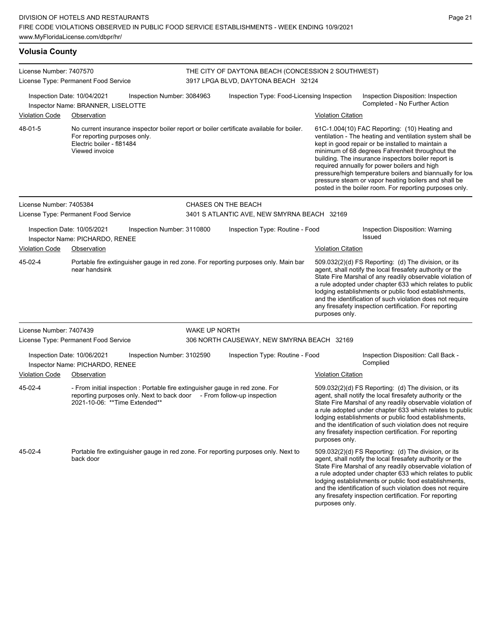| <b>Volusia County</b>                                                                           |                                                                             |                                                                        |                                 |                                                                                                                   |                                                                                                                                                                                                                                                                                                                                                                                                                                                                                                          |                                                                                                                                                                                                                                                                                                                                                                                                                            |  |  |
|-------------------------------------------------------------------------------------------------|-----------------------------------------------------------------------------|------------------------------------------------------------------------|---------------------------------|-------------------------------------------------------------------------------------------------------------------|----------------------------------------------------------------------------------------------------------------------------------------------------------------------------------------------------------------------------------------------------------------------------------------------------------------------------------------------------------------------------------------------------------------------------------------------------------------------------------------------------------|----------------------------------------------------------------------------------------------------------------------------------------------------------------------------------------------------------------------------------------------------------------------------------------------------------------------------------------------------------------------------------------------------------------------------|--|--|
| License Number: 7407570<br>License Type: Permanent Food Service                                 |                                                                             |                                                                        |                                 | THE CITY OF DAYTONA BEACH (CONCESSION 2 SOUTHWEST)<br>3917 LPGA BLVD, DAYTONA BEACH 32124                         |                                                                                                                                                                                                                                                                                                                                                                                                                                                                                                          |                                                                                                                                                                                                                                                                                                                                                                                                                            |  |  |
| Inspection Date: 10/04/2021<br>Inspection Number: 3084963<br>Inspector Name: BRANNER, LISELOTTE |                                                                             |                                                                        |                                 | Inspection Type: Food-Licensing Inspection<br>Inspection Disposition: Inspection<br>Completed - No Further Action |                                                                                                                                                                                                                                                                                                                                                                                                                                                                                                          |                                                                                                                                                                                                                                                                                                                                                                                                                            |  |  |
| <b>Violation Code</b>                                                                           | Observation                                                                 |                                                                        |                                 |                                                                                                                   | <b>Violation Citation</b>                                                                                                                                                                                                                                                                                                                                                                                                                                                                                |                                                                                                                                                                                                                                                                                                                                                                                                                            |  |  |
| 48-01-5                                                                                         | For reporting purposes only.<br>Electric boiler - fl81484<br>Viewed invoice |                                                                        |                                 | No current insurance inspector boiler report or boiler certificate available for boiler.                          | 61C-1.004(10) FAC Reporting: (10) Heating and<br>ventilation - The heating and ventilation system shall be<br>kept in good repair or be installed to maintain a<br>minimum of 68 degrees Fahrenheit throughout the<br>building. The insurance inspectors boiler report is<br>required annually for power boilers and high<br>pressure/high temperature boilers and biannually for low<br>pressure steam or vapor heating boilers and shall be<br>posted in the boiler room. For reporting purposes only. |                                                                                                                                                                                                                                                                                                                                                                                                                            |  |  |
| License Number: 7405384                                                                         |                                                                             |                                                                        |                                 | CHASES ON THE BEACH                                                                                               |                                                                                                                                                                                                                                                                                                                                                                                                                                                                                                          |                                                                                                                                                                                                                                                                                                                                                                                                                            |  |  |
|                                                                                                 | License Type: Permanent Food Service                                        |                                                                        |                                 | 3401 S ATLANTIC AVE, NEW SMYRNA BEACH 32169                                                                       |                                                                                                                                                                                                                                                                                                                                                                                                                                                                                                          |                                                                                                                                                                                                                                                                                                                                                                                                                            |  |  |
|                                                                                                 | Inspection Date: 10/05/2021<br>Inspector Name: PICHARDO, RENEE              | Inspection Number: 3110800                                             | Inspection Type: Routine - Food |                                                                                                                   | Inspection Disposition: Warning<br><b>Issued</b>                                                                                                                                                                                                                                                                                                                                                                                                                                                         |                                                                                                                                                                                                                                                                                                                                                                                                                            |  |  |
| <b>Violation Code</b>                                                                           | Observation                                                                 |                                                                        | <b>Violation Citation</b>       |                                                                                                                   |                                                                                                                                                                                                                                                                                                                                                                                                                                                                                                          |                                                                                                                                                                                                                                                                                                                                                                                                                            |  |  |
| 45-02-4                                                                                         | near handsink                                                               |                                                                        |                                 | Portable fire extinguisher gauge in red zone. For reporting purposes only. Main bar                               | 509.032(2)(d) FS Reporting: (d) The division, or its<br>agent, shall notify the local firesafety authority or the<br>State Fire Marshal of any readily observable violation of<br>a rule adopted under chapter 633 which relates to public<br>lodging establishments or public food establishments,<br>and the identification of such violation does not require<br>any firesafety inspection certification. For reporting<br>purposes only.                                                             |                                                                                                                                                                                                                                                                                                                                                                                                                            |  |  |
| License Number: 7407439                                                                         |                                                                             |                                                                        | <b>WAKE UP NORTH</b>            |                                                                                                                   |                                                                                                                                                                                                                                                                                                                                                                                                                                                                                                          |                                                                                                                                                                                                                                                                                                                                                                                                                            |  |  |
|                                                                                                 | License Type: Permanent Food Service                                        |                                                                        |                                 | 306 NORTH CAUSEWAY, NEW SMYRNA BEACH 32169                                                                        |                                                                                                                                                                                                                                                                                                                                                                                                                                                                                                          |                                                                                                                                                                                                                                                                                                                                                                                                                            |  |  |
|                                                                                                 | Inspection Date: 10/06/2021<br>Inspector Name: PICHARDO, RENEE              | Inspection Number: 3102590                                             |                                 | Inspection Type: Routine - Food                                                                                   |                                                                                                                                                                                                                                                                                                                                                                                                                                                                                                          | Inspection Disposition: Call Back -<br>Complied                                                                                                                                                                                                                                                                                                                                                                            |  |  |
| <b>Violation Code</b>                                                                           | Observation                                                                 |                                                                        |                                 |                                                                                                                   | <b>Violation Citation</b>                                                                                                                                                                                                                                                                                                                                                                                                                                                                                |                                                                                                                                                                                                                                                                                                                                                                                                                            |  |  |
| 45-02-4                                                                                         | 2021-10-06: ** Time Extended**                                              | reporting purposes only. Next to back door - From follow-up inspection |                                 | - From initial inspection : Portable fire extinguisher gauge in red zone. For                                     | 509.032(2)(d) FS Reporting: (d) The division, or its<br>agent, shall notify the local firesafety authority or the<br>State Fire Marshal of any readily observable violation of<br>a rule adopted under chapter 633 which relates to public<br>lodging establishments or public food establishments,<br>and the identification of such violation does not require<br>any firesafety inspection certification. For reporting<br>purposes only.                                                             |                                                                                                                                                                                                                                                                                                                                                                                                                            |  |  |
| 45-02-4                                                                                         | back door                                                                   |                                                                        |                                 | Portable fire extinguisher gauge in red zone. For reporting purposes only. Next to                                |                                                                                                                                                                                                                                                                                                                                                                                                                                                                                                          | 509.032(2)(d) FS Reporting: (d) The division, or its<br>agent, shall notify the local firesafety authority or the<br>State Fire Marshal of any readily observable violation of<br>a rule adopted under chapter 633 which relates to public<br>lodging establishments or public food establishments,<br>and the identification of such violation does not require<br>any firesafety inspection certification. For reporting |  |  |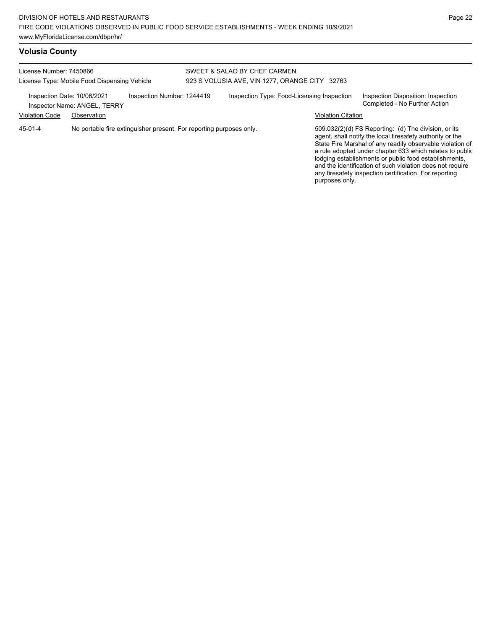# **Volusia County**

| License Number: 7450866<br>License Type: Mobile Food Dispensing Vehicle                   |             |  | SWEET & SALAO BY CHEF CARMEN<br>923 S VOLUSIA AVE, VIN 1277, ORANGE CITY 32763 |                                            |                           |                                                                                                                                                                                                                                                                                                                                                                                                                            |
|-------------------------------------------------------------------------------------------|-------------|--|--------------------------------------------------------------------------------|--------------------------------------------|---------------------------|----------------------------------------------------------------------------------------------------------------------------------------------------------------------------------------------------------------------------------------------------------------------------------------------------------------------------------------------------------------------------------------------------------------------------|
| Inspection Number: 1244419<br>Inspection Date: 10/06/2021<br>Inspector Name: ANGEL, TERRY |             |  |                                                                                | Inspection Type: Food-Licensing Inspection |                           | Inspection Disposition: Inspection<br>Completed - No Further Action                                                                                                                                                                                                                                                                                                                                                        |
| <b>Violation Code</b>                                                                     | Observation |  |                                                                                |                                            | <b>Violation Citation</b> |                                                                                                                                                                                                                                                                                                                                                                                                                            |
| No portable fire extinguisher present. For reporting purposes only.<br>45-01-4            |             |  |                                                                                |                                            |                           | 509.032(2)(d) FS Reporting: (d) The division, or its<br>agent, shall notify the local firesafety authority or the<br>State Fire Marshal of any readily observable violation of<br>a rule adopted under chapter 633 which relates to public<br>lodging establishments or public food establishments,<br>and the identification of such violation does not require<br>any firesafety inspection certification. For reporting |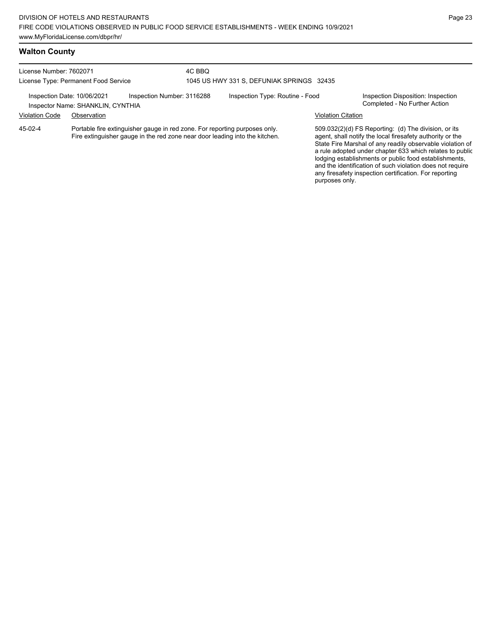License Number: 7602071 License Type: Permanent Food Service 4C BBQ 1045 US HWY 331 S, DEFUNIAK SPRINGS 32435 Inspection Date: 10/06/2021 Inspection Number: 3116288 Inspection Type: Routine - Food Inspection Disposition: Inspection<br>Inspector Name: SHANKLIN CYNTHIA Inspector Name: SHANKLIN, CYNTHIA Violation Code Observation Violation Citation Portable fire extinguisher gauge in red zone. For reporting purposes only. Fire extinguisher gauge in the red zone near door leading into the kitchen. 45-02-4

509.032(2)(d) FS Reporting: (d) The division, or its agent, shall notify the local firesafety authority or the State Fire Marshal of any readily observable violation of a rule adopted under chapter 633 which relates to public lodging establishments or public food establishments, and the identification of such violation does not require any firesafety inspection certification. For reporting purposes only.